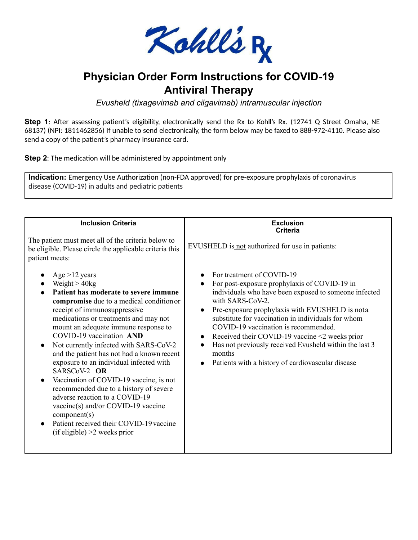

# **Physician Order Form Instructions for COVID-19 Antiviral Therapy**

*Evusheld (tixagevimab and cilgavimab) intramuscular injection*

**Step 1**: After assessing patient's eligibility, electronically send the Rx to Kohll's Rx. (12741 Q Street Omaha, NE 68137) (NPI: 1811462856) If unable to send electronically, the form below may be faxed to 888-972-4110. Please also send a copy of the patient's pharmacy insurance card.

**Step 2:** The medication will be administered by appointment only

**Indication:** Emergency Use Authorization (non-FDA approved) for pre-exposure prophylaxis of coronavirus disease (COVID-19) in adults and pediatric patients

| <b>Inclusion Criteria</b>                                                                                                                                                                                                                                                                                                                                                                                                                                                                                                                                                                                                                                                                                      | <b>Exclusion</b><br>Criteria                                                                                                                                                                                                                                                                                                                                                                                                                                                                   |  |  |  |  |
|----------------------------------------------------------------------------------------------------------------------------------------------------------------------------------------------------------------------------------------------------------------------------------------------------------------------------------------------------------------------------------------------------------------------------------------------------------------------------------------------------------------------------------------------------------------------------------------------------------------------------------------------------------------------------------------------------------------|------------------------------------------------------------------------------------------------------------------------------------------------------------------------------------------------------------------------------------------------------------------------------------------------------------------------------------------------------------------------------------------------------------------------------------------------------------------------------------------------|--|--|--|--|
| The patient must meet all of the criteria below to<br>be eligible. Please circle the applicable criteria this<br>patient meets:                                                                                                                                                                                                                                                                                                                                                                                                                                                                                                                                                                                | EVUSHELD is not authorized for use in patients:                                                                                                                                                                                                                                                                                                                                                                                                                                                |  |  |  |  |
| Age $>12$ years<br>Weight $> 40$ kg<br>Patient has moderate to severe immune<br>compromise due to a medical condition or<br>receipt of immunosuppressive<br>medications or treatments and may not<br>mount an adequate immune response to<br>COVID-19 vaccination AND<br>Not currently infected with SARS-CoV-2<br>$\bullet$<br>and the patient has not had a known recent<br>exposure to an individual infected with<br>SARSCoV-2 OR<br>Vaccination of COVID-19 vaccine, is not<br>$\bullet$<br>recommended due to a history of severe<br>adverse reaction to a COVID-19<br>$vaccine(s)$ and/or COVID-19 vaccine<br>component(s)<br>Patient received their COVID-19 vaccine<br>$(if$ eligible) >2 weeks prior | For treatment of COVID-19<br>For post-exposure prophylaxis of COVID-19 in<br>individuals who have been exposed to someone infected<br>with SARS-CoV-2.<br>Pre-exposure prophylaxis with EVUSHELD is nota<br>substitute for vaccination in individuals for whom<br>COVID-19 vaccination is recommended.<br>Received their COVID-19 vaccine <2 weeks prior<br>Has not previously received Evusheld within the last 3<br>$\bullet$<br>months<br>Patients with a history of cardiovascular disease |  |  |  |  |